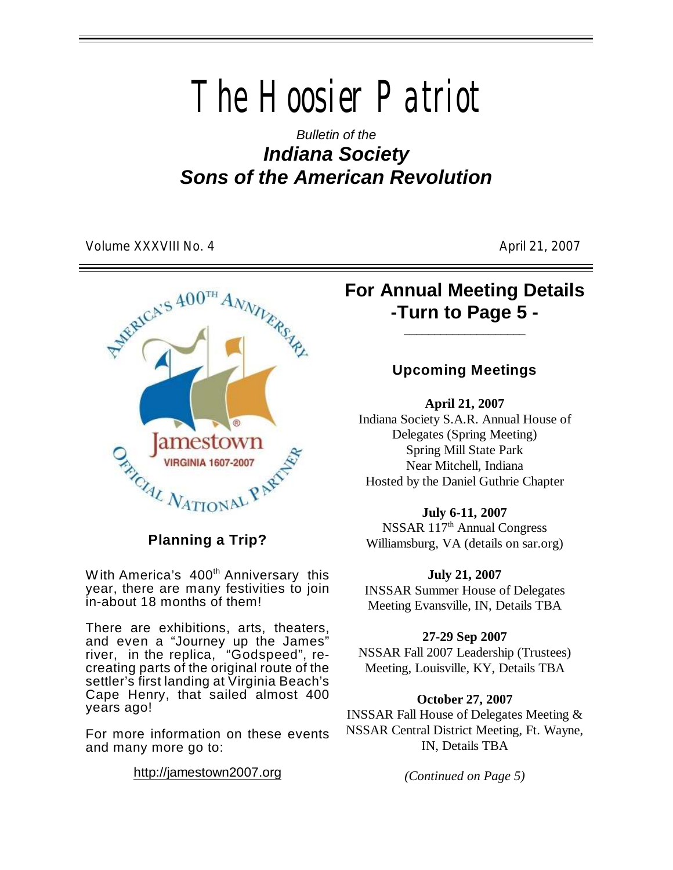*The Hoosier Patriot*

*Bulletin of the Indiana Society Sons of the American Revolution*

Volume XXXVIII No. 4 April 21, 2007



**Planning a Trip?**

With America's  $400<sup>th</sup>$  Anniversary this year, there are many festivities to join in-about 18 months of them!

There are exhibitions, arts, theaters, and even a "Journey up the James" river, in the replica, "Godspeed", recreating parts of the original route of the settler's first landing at Virginia Beach's Cape Henry, that sailed almost 400 years ago!

For more information on these events and many more go to:

<http://jamestown2007.org>

# **For Annual Meeting Details -Turn to Page 5 -**

\_\_\_\_\_\_\_\_\_\_\_\_\_\_\_\_\_\_\_\_

## **Upcoming Meetings**

**April 21, 2007** Indiana Society S.A.R. Annual House of Delegates (Spring Meeting) Spring Mill State Park Near Mitchell, Indiana

Hosted by the Daniel Guthrie Chapter

#### **July 6-11, 2007**

NSSAR 117<sup>th</sup> Annual Congress Williamsburg, VA (details on sar.org)

#### **July 21, 2007**

INSSAR Summer House of Delegates Meeting Evansville, IN, Details TBA

### **27-29 Sep 2007**

NSSAR Fall 2007 Leadership (Trustees) Meeting, Louisville, KY, Details TBA

### **October 27, 2007**

INSSAR Fall House of Delegates Meeting & NSSAR Central District Meeting, Ft. Wayne, IN, Details TBA

*(Continued on Page 5)*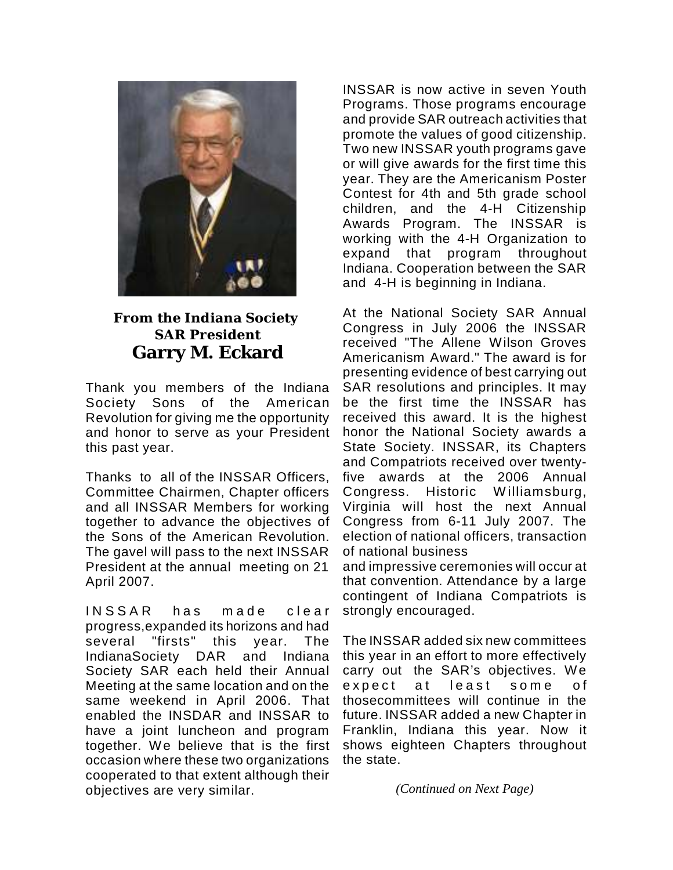

## **From the Indiana Society SAR President Garry M. Eckard**

Thank you members of the Indiana Society Sons of the American Revolution for giving me the opportunity and honor to serve as your President this past year.

Thanks to all of the INSSAR Officers, Committee Chairmen, Chapter officers and all INSSAR Members for working together to advance the objectives of the Sons of the American Revolution. The gavel will pass to the next INSSAR President at the annual meeting on 21 April 2007.

INSSAR has made clear progress,expanded its horizons and had several "firsts" this year. The IndianaSociety DAR and Indiana Society SAR each held their Annual Meeting at the same location and on the same weekend in April 2006. That enabled the INSDAR and INSSAR to have a joint luncheon and program together. We believe that is the first occasion where these two organizations cooperated to that extent although their objectives are very similar.

INSSAR is now active in seven Youth Programs. Those programs encourage and provide SAR outreach activities that promote the values of good citizenship. Two new INSSAR youth programs gave or will give awards for the first time this year. They are the Americanism Poster Contest for 4th and 5th grade school children, and the 4-H Citizenship Awards Program. The INSSAR is working with the 4-H Organization to expand that program throughout Indiana. Cooperation between the SAR and 4-H is beginning in Indiana.

At the National Society SAR Annual Congress in July 2006 the INSSAR received "The Allene Wilson Groves Americanism Award." The award is for presenting evidence of best carrying out SAR resolutions and principles. It may be the first time the INSSAR has received this award. It is the highest honor the National Society awards a State Society. INSSAR, its Chapters and Compatriots received over twentyfive awards at the 2006 Annual Congress. Historic Williamsburg. Virginia will host the next Annual Congress from 6-11 July 2007. The election of national officers, transaction of national business

and impressive ceremonies will occur at that convention. Attendance by a large contingent of Indiana Compatriots is strongly encouraged.

The INSSAR added six new committees this year in an effort to more effectively carry out the SAR's objectives. We expect at least some of thosecommittees will continue in the future. INSSAR added a new Chapter in Franklin, Indiana this year. Now it shows eighteen Chapters throughout the state.

*(Continued on Next Page)*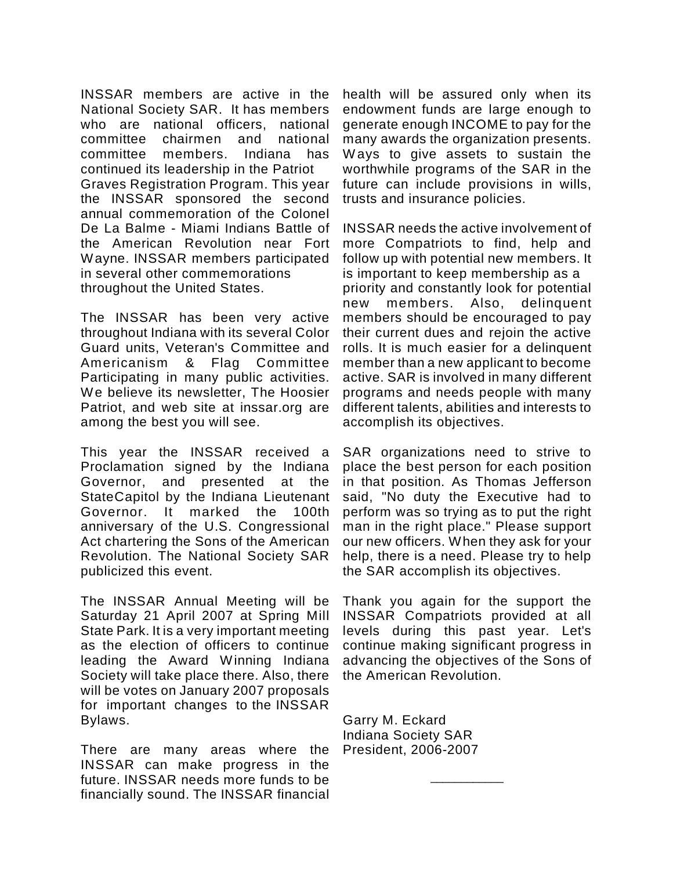INSSAR members are active in the National Society SAR. It has members who are national officers, national committee chairmen and national committee members. Indiana has continued its leadership in the Patriot Graves Registration Program. This year the INSSAR sponsored the second annual commemoration of the Colonel De La Balme - Miami Indians Battle of the American Revolution near Fort Wayne. INSSAR members participated in several other commemorations throughout the United States.

The INSSAR has been very active throughout Indiana with its several Color Guard units, Veteran's Committee and Americanism & Flag Committee Participating in many public activities. We believe its newsletter, The Hoosier Patriot, and web site at inssar.org are among the best you will see.

This year the INSSAR received a Proclamation signed by the Indiana Governor, and presented at the StateCapitol by the Indiana Lieutenant Governor. It marked the 100th anniversary of the U.S. Congressional Act chartering the Sons of the American Revolution. The National Society SAR publicized this event.

The INSSAR Annual Meeting will be Saturday 21 April 2007 at Spring Mill State Park. It is a very important meeting as the election of officers to continue leading the Award Winning Indiana Society will take place there. Also, there will be votes on January 2007 proposals for important changes to the INSSAR Bylaws.

There are many areas where the INSSAR can make progress in the future. INSSAR needs more funds to be financially sound. The INSSAR financial health will be assured only when its endowment funds are large enough to generate enough INCOME to pay for the many awards the organization presents. Ways to give assets to sustain the worthwhile programs of the SAR in the future can include provisions in wills, trusts and insurance policies.

INSSAR needs the active involvement of more Compatriots to find, help and follow up with potential new members. It is important to keep membership as a priority and constantly look for potential new members. Also, delinquent members should be encouraged to pay their current dues and rejoin the active rolls. It is much easier for a delinquent member than a new applicant to become active. SAR is involved in many different programs and needs people with many different talents, abilities and interests to accomplish its objectives.

SAR organizations need to strive to place the best person for each position in that position. As Thomas Jefferson said, "No duty the Executive had to perform was so trying as to put the right man in the right place." Please support our new officers. When they ask for your help, there is a need. Please try to help the SAR accomplish its objectives.

Thank you again for the support the INSSAR Compatriots provided at all levels during this past year. Let's continue making significant progress in advancing the objectives of the Sons of the American Revolution.

\_\_\_\_\_\_\_\_\_\_\_\_

Garry M. Eckard Indiana Society SAR President, 2006-2007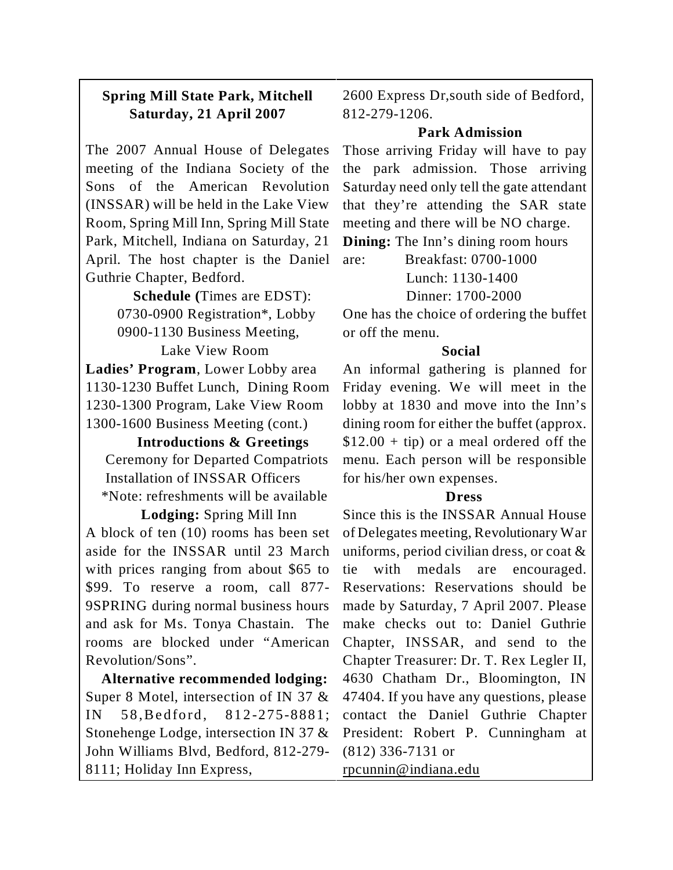## **Spring Mill State Park, Mitchell Saturday, 21 April 2007**

The 2007 Annual House of Delegates meeting of the Indiana Society of the Sons of the American Revolution (INSSAR) will be held in the Lake View Room, Spring Mill Inn, Spring Mill State Park, Mitchell, Indiana on Saturday, 21 April. The host chapter is the Daniel Guthrie Chapter, Bedford.

> **Schedule (**Times are EDST): 0730-0900 Registration\*, Lobby 0900-1130 Business Meeting,

 Lake View Room **Ladies' Program**, Lower Lobby area 1130-1230 Buffet Lunch, Dining Room 1230-1300 Program, Lake View Room 1300-1600 Business Meeting (cont.)

 **Introductions & Greetings** Ceremony for Departed Compatriots Installation of INSSAR Officers \*Note: refreshments will be available

 **Lodging:** Spring Mill Inn A block of ten (10) rooms has been set aside for the INSSAR until 23 March with prices ranging from about \$65 to \$99. To reserve a room, call 877- 9SPRING during normal business hours and ask for Ms. Tonya Chastain. The rooms are blocked under "American Revolution/Sons".

 **Alternative recommended lodging:** Super 8 Motel, intersection of IN 37 & IN 58, Bedford, 812-275-8881; Stonehenge Lodge, intersection IN 37 & John Williams Blvd, Bedford, 812-279- 8111; Holiday Inn Express,

2600 Express Dr,south side of Bedford, 812-279-1206.

## **Park Admission**

Those arriving Friday will have to pay the park admission. Those arriving Saturday need only tell the gate attendant that they're attending the SAR state meeting and there will be NO charge.

**Dining:** The Inn's dining room hours

are: Breakfast: 0700-1000 Lunch: 1130-1400 Dinner: 1700-2000

One has the choice of ordering the buffet or off the menu.

## **Social**

An informal gathering is planned for Friday evening. We will meet in the lobby at 1830 and move into the Inn's dining room for either the buffet (approx.  $$12.00 + tip$  or a meal ordered off the menu. Each person will be responsible for his/her own expenses.

## **Dress**

Since this is the INSSAR Annual House of Delegates meeting, Revolutionary War uniforms, period civilian dress, or coat & tie with medals are encouraged. Reservations: Reservations should be made by Saturday, 7 April 2007. Please make checks out to: Daniel Guthrie Chapter, INSSAR, and send to the Chapter Treasurer: Dr. T. Rex Legler II, 4630 Chatham Dr., Bloomington, IN 47404. If you have any questions, please contact the Daniel Guthrie Chapter President: Robert P. Cunningham at (812) 336-7131 or rpcunnin@indiana.edu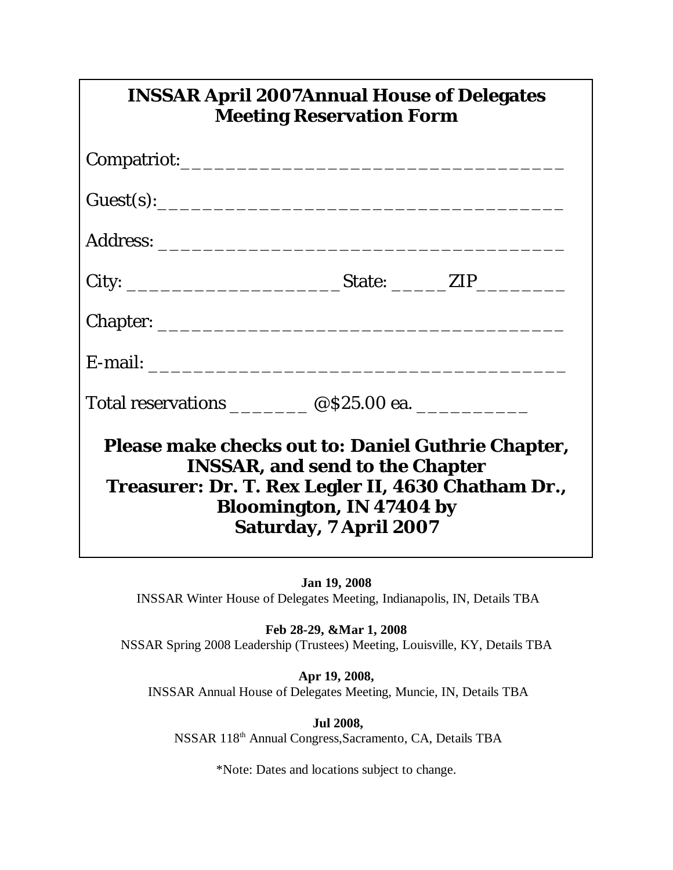| <b>INSSAR April 2007Annual House of Delegates</b><br><b>Meeting Reservation Form</b>                                                                                                              |
|---------------------------------------------------------------------------------------------------------------------------------------------------------------------------------------------------|
|                                                                                                                                                                                                   |
| Guest(s):                                                                                                                                                                                         |
|                                                                                                                                                                                                   |
|                                                                                                                                                                                                   |
|                                                                                                                                                                                                   |
|                                                                                                                                                                                                   |
| Total reservations __________ @\$25.00 ea. ____________                                                                                                                                           |
| Please make checks out to: Daniel Guthrie Chapter,<br>INSSAR, and send to the Chapter<br>Treasurer: Dr. T. Rex Legler II, 4630 Chatham Dr.,<br>Bloomington, IN 47404 by<br>Saturday, 7 April 2007 |

**Jan 19, 2008** INSSAR Winter House of Delegates Meeting, Indianapolis, IN, Details TBA

**Feb 28-29, &Mar 1, 2008** NSSAR Spring 2008 Leadership (Trustees) Meeting, Louisville, KY, Details TBA

**Apr 19, 2008,** INSSAR Annual House of Delegates Meeting, Muncie, IN, Details TBA

 **Jul 2008,** NSSAR 118<sup>th</sup> Annual Congress, Sacramento, CA, Details TBA

\*Note: Dates and locations subject to change.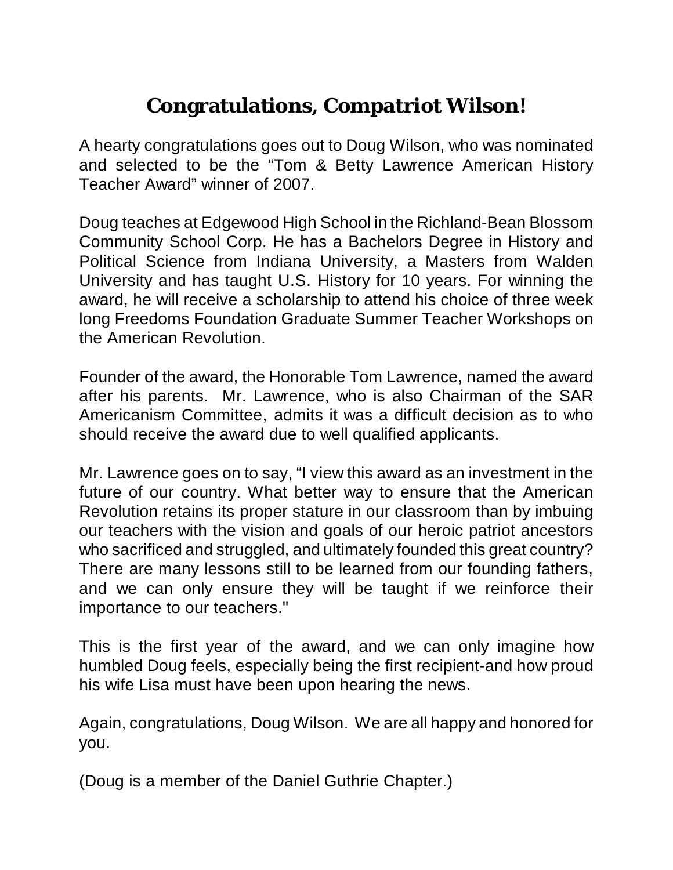# **Congratulations, Compatriot Wilson!**

A hearty congratulations goes out to Doug Wilson, who was nominated and selected to be the "Tom & Betty Lawrence American History Teacher Award" winner of 2007.

Doug teaches at Edgewood High School in the Richland-Bean Blossom Community School Corp. He has a Bachelors Degree in History and Political Science from Indiana University, a Masters from Walden University and has taught U.S. History for 10 years. For winning the award, he will receive a scholarship to attend his choice of three week long Freedoms Foundation Graduate Summer Teacher Workshops on the American Revolution.

Founder of the award, the Honorable Tom Lawrence, named the award after his parents. Mr. Lawrence, who is also Chairman of the SAR Americanism Committee, admits it was a difficult decision as to who should receive the award due to well qualified applicants.

Mr. Lawrence goes on to say, "I view this award as an investment in the future of our country. What better way to ensure that the American Revolution retains its proper stature in our classroom than by imbuing our teachers with the vision and goals of our heroic patriot ancestors who sacrificed and struggled, and ultimately founded this great country? There are many lessons still to be learned from our founding fathers, and we can only ensure they will be taught if we reinforce their importance to our teachers."

This is the first year of the award, and we can only imagine how humbled Doug feels, especially being the first recipient-and how proud his wife Lisa must have been upon hearing the news.

Again, congratulations, Doug Wilson. We are all happy and honored for you.

(Doug is a member of the Daniel Guthrie Chapter.)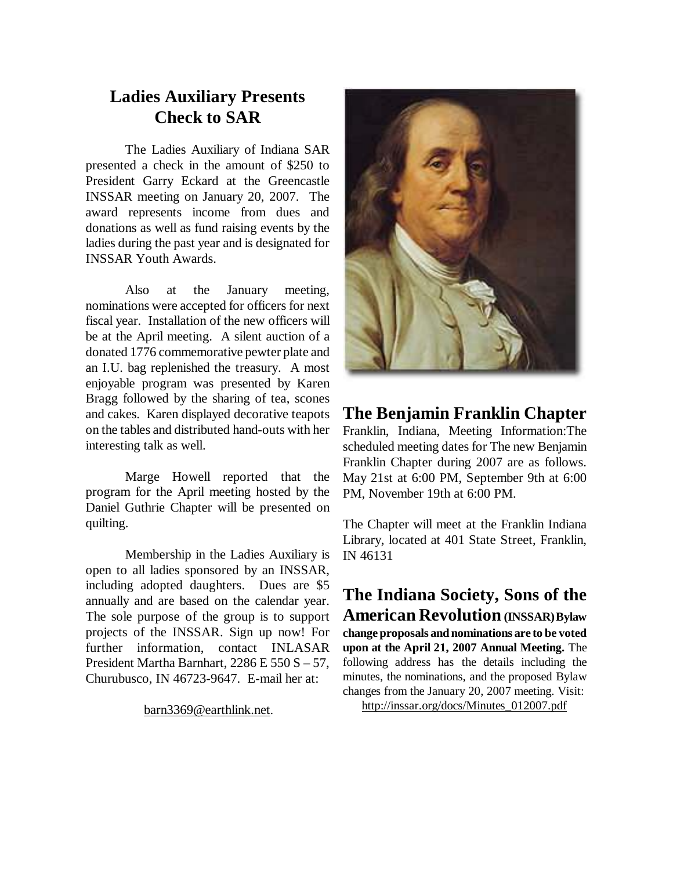# **Ladies Auxiliary Presents Check to SAR**

The Ladies Auxiliary of Indiana SAR presented a check in the amount of \$250 to President Garry Eckard at the Greencastle INSSAR meeting on January 20, 2007. The award represents income from dues and donations as well as fund raising events by the ladies during the past year and is designated for INSSAR Youth Awards.

Also at the January meeting, nominations were accepted for officers for next fiscal year. Installation of the new officers will be at the April meeting. A silent auction of a donated 1776 commemorative pewter plate and an I.U. bag replenished the treasury. A most enjoyable program was presented by Karen Bragg followed by the sharing of tea, scones and cakes. Karen displayed decorative teapots on the tables and distributed hand-outs with her interesting talk as well.

Marge Howell reported that the program for the April meeting hosted by the Daniel Guthrie Chapter will be presented on quilting.

Membership in the Ladies Auxiliary is open to all ladies sponsored by an INSSAR, including adopted daughters. Dues are \$5 annually and are based on the calendar year. The sole purpose of the group is to support projects of the INSSAR. Sign up now! For further information, contact INLASAR President Martha Barnhart, 2286 E 550 S – 57, Churubusco, IN 46723-9647. E-mail her at:

[barn3369@earthlink.net](mailto:barn3369@earthlink.net).



## **The Benjamin Franklin Chapter**

Franklin, Indiana, Meeting Information:The scheduled meeting dates for The new Benjamin Franklin Chapter during 2007 are as follows. May 21st at 6:00 PM, September 9th at 6:00 PM, November 19th at 6:00 PM.

The Chapter will meet at the Franklin Indiana Library, located at 401 State Street, Franklin, IN 46131

**The Indiana Society, Sons of the American Revolution (INSSAR)Bylaw change proposals and nominations are to be voted upon at the April 21, 2007 Annual Meeting.** The following address has the details including the minutes, the nominations, and the proposed Bylaw changes from the January 20, 2007 meeting. Visit: [http://inssar.org/docs/Minutes\\_012007.pdf](http://inssar.org/docs/Minutes_012007.pdf)